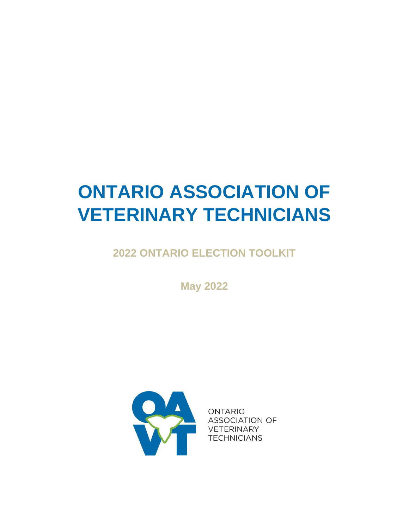# **ONTARIO ASSOCIATION OF VETERINARY TECHNICIANS**

**2022 ONTARIO ELECTION TOOLKIT**

**May 2022** 



**ONTARIO ASSOCIATION OF VETERINARY TECHNICIANS**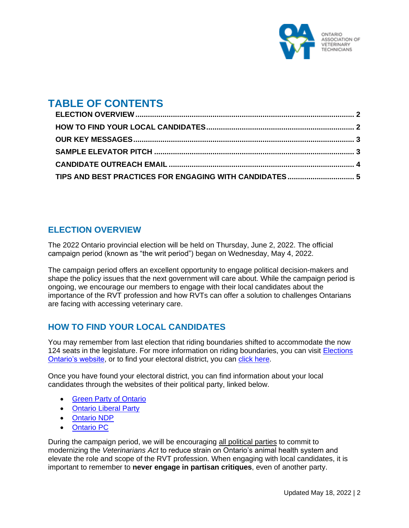

## **TABLE OF CONTENTS**

| TIPS AND BEST PRACTICES FOR ENGAGING WITH CANDIDATES  5 |  |
|---------------------------------------------------------|--|

### <span id="page-1-0"></span>**ELECTION OVERVIEW**

The 2022 Ontario provincial election will be held on Thursday, June 2, 2022. The official campaign period (known as "the writ period") began on Wednesday, May 4, 2022.

The campaign period offers an excellent opportunity to engage political decision-makers and shape the policy issues that the next government will care about. While the campaign period is ongoing, we encourage our members to engage with their local candidates about the importance of the RVT profession and how RVTs can offer a solution to challenges Ontarians are facing with accessing veterinary care.

## <span id="page-1-1"></span>**HOW TO FIND YOUR LOCAL CANDIDATES**

You may remember from last election that riding boundaries shifted to accommodate the now 124 seats in the legislature. For more information on riding boundaries, you can visit [Elections](https://www.elections.on.ca/en/voting-in-ontario/electoral-districts/redistribution.html)  [Ontario's website,](https://www.elections.on.ca/en/voting-in-ontario/electoral-districts/redistribution.html) or to find your electoral district, you can [click here.](https://voterinformationservice.elections.on.ca/en/election/search?mode=postalCode)

Once you have found your electoral district, you can find information about your local candidates through the websites of their political party, linked below.

- [Green Party of Ontario](https://gpo.ca/find-candidate/)
- [Ontario Liberal Party](https://ontarioliberal.ca/candidates/)
- [Ontario NDP](https://www.ontariondp.ca/team)
- [Ontario PC](https://ontariopc.ca/team/)

During the campaign period, we will be encouraging all political parties to commit to modernizing the *Veterinarians Act* to reduce strain on Ontario's animal health system and elevate the role and scope of the RVT profession. When engaging with local candidates, it is important to remember to **never engage in partisan critiques**, even of another party.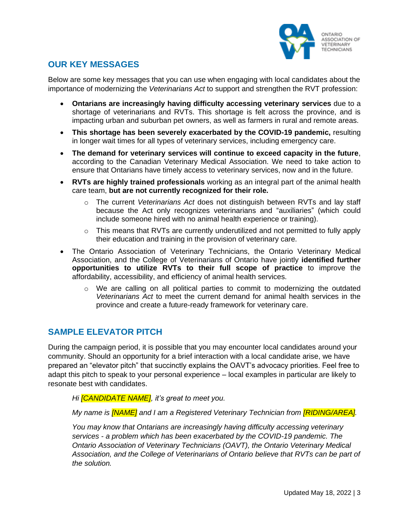

### <span id="page-2-0"></span>**OUR KEY MESSAGES**

Below are some key messages that you can use when engaging with local candidates about the importance of modernizing the *Veterinarians Act* to support and strengthen the RVT profession:

- **Ontarians are increasingly having difficulty accessing veterinary services** due to a shortage of veterinarians and RVTs. This shortage is felt across the province, and is impacting urban and suburban pet owners, as well as farmers in rural and remote areas.
- **This shortage has been severely exacerbated by the COVID-19 pandemic,** resulting in longer wait times for all types of veterinary services, including emergency care.
- **The demand for veterinary services will continue to exceed capacity in the future**, according to the Canadian Veterinary Medical Association. We need to take action to ensure that Ontarians have timely access to veterinary services, now and in the future.
- **RVTs are highly trained professionals** working as an integral part of the animal health care team, **but are not currently recognized for their role.**
	- o The current *Veterinarians Act* does not distinguish between RVTs and lay staff because the Act only recognizes veterinarians and "auxiliaries" (which could include someone hired with no animal health experience or training).
	- o This means that RVTs are currently underutilized and not permitted to fully apply their education and training in the provision of veterinary care.
- The Ontario Association of Veterinary Technicians, the Ontario Veterinary Medical Association, and the College of Veterinarians of Ontario have jointly **identified further opportunities to utilize RVTs to their full scope of practice** to improve the affordability, accessibility, and efficiency of animal health services.
	- $\circ$  We are calling on all political parties to commit to modernizing the outdated *Veterinarians Act* to meet the current demand for animal health services in the province and create a future-ready framework for veterinary care.

### <span id="page-2-1"></span>**SAMPLE ELEVATOR PITCH**

During the campaign period, it is possible that you may encounter local candidates around your community. Should an opportunity for a brief interaction with a local candidate arise, we have prepared an "elevator pitch" that succinctly explains the OAVT's advocacy priorities. Feel free to adapt this pitch to speak to your personal experience – local examples in particular are likely to resonate best with candidates.

*Hi [CANDIDATE NAME], it's great to meet you.*

*My name is [NAME] and I am a Registered Veterinary Technician from [RIDING/AREA].*

*You may know that Ontarians are increasingly having difficulty accessing veterinary services - a problem which has been exacerbated by the COVID-19 pandemic. The Ontario Association of Veterinary Technicians (OAVT), the Ontario Veterinary Medical Association, and the College of Veterinarians of Ontario believe that RVTs can be part of the solution.*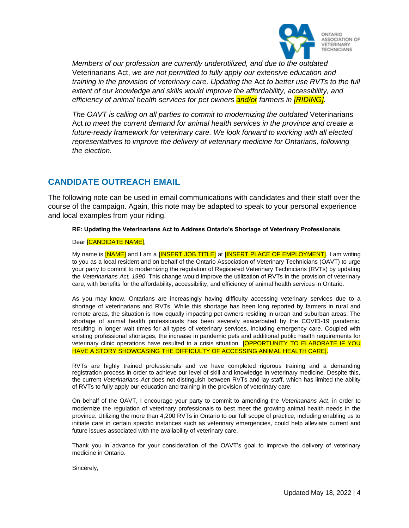

*Members of our profession are currently underutilized, and due to the outdated*  Veterinarians Act, *we are not permitted to fully apply our extensive education and training in the provision of veterinary care. Updating the Act to better use RVTs to the full extent of our knowledge and skills would improve the affordability, accessibility, and efficiency of animal health services for pet owners and/or farmers in [RIDING].*

*The OAVT is calling on all parties to commit to modernizing the outdated Veterinarians* Act *to meet the current demand for animal health services in the province and create a future-ready framework for veterinary care. We look forward to working with all elected representatives to improve the delivery of veterinary medicine for Ontarians, following the election.*

#### <span id="page-3-0"></span>**CANDIDATE OUTREACH EMAIL**

The following note can be used in email communications with candidates and their staff over the course of the campaign. Again, this note may be adapted to speak to your personal experience and local examples from your riding.

#### **RE: Updating the Veterinarians Act to Address Ontario's Shortage of Veterinary Professionals**

#### Dear [CANDIDATE NAME],

My name is **[NAME]** and I am a **[INSERT JOB TITLE]** at **[INSERT PLACE OF EMPLOYMENT**]. I am writing to you as a local resident and on behalf of the Ontario Association of Veterinary Technicians (OAVT) to urge your party to commit to modernizing the regulation of Registered Veterinary Technicians (RVTs) by updating the *Veterinarians Act, 1990*. This change would improve the utilization of RVTs in the provision of veterinary care, with benefits for the affordability, accessibility, and efficiency of animal health services in Ontario.

As you may know, Ontarians are increasingly having difficulty accessing veterinary services due to a shortage of veterinarians and RVTs. While this shortage has been long reported by farmers in rural and remote areas, the situation is now equally impacting pet owners residing in urban and suburban areas. The shortage of animal health professionals has been severely exacerbated by the COVID-19 pandemic, resulting in longer wait times for all types of veterinary services, including emergency care. Coupled with existing professional shortages, the increase in pandemic pets and additional public health requirements for veterinary clinic operations have resulted in a crisis situation. **[OPPORTUNITY TO ELABORATE IF YOU** HAVE A STORY SHOWCASING THE DIFFICULTY OF ACCESSING ANIMAL HEALTH CARE].

RVTs are highly trained professionals and we have completed rigorous training and a demanding registration process in order to achieve our level of skill and knowledge in veterinary medicine. Despite this, the current *Veterinarians Act* does not distinguish between RVTs and lay staff, which has limited the ability of RVTs to fully apply our education and training in the provision of veterinary care.

On behalf of the OAVT, I encourage your party to commit to amending the *Veterinarians Act*, in order to modernize the regulation of veterinary professionals to best meet the growing animal health needs in the province. Utilizing the more than 4,200 RVTs in Ontario to our full scope of practice, including enabling us to initiate care in certain specific instances such as veterinary emergencies, could help alleviate current and future issues associated with the availability of veterinary care.

Thank you in advance for your consideration of the OAVT's goal to improve the delivery of veterinary medicine in Ontario.

Sincerely,